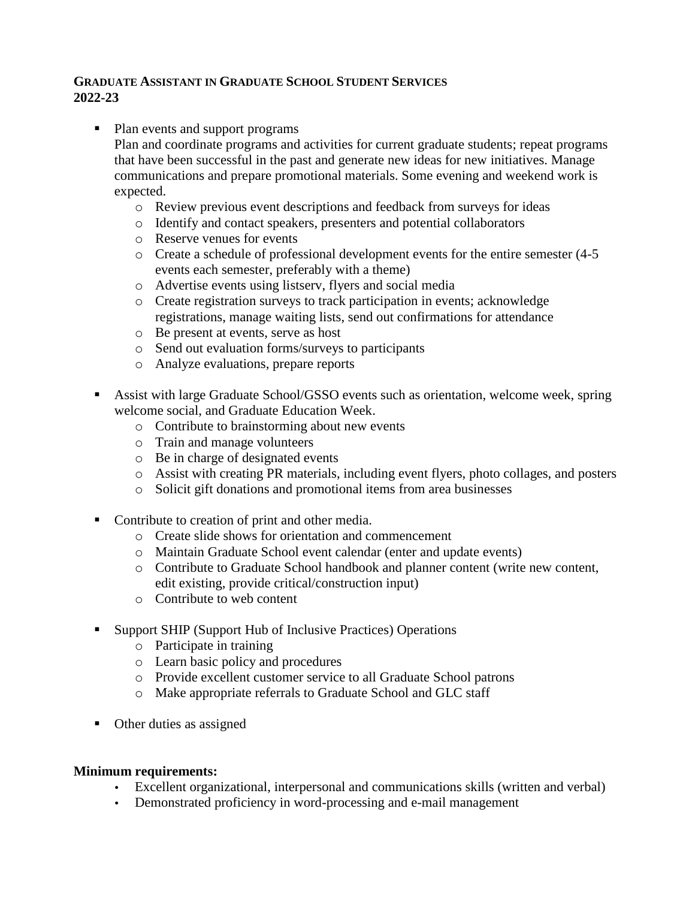## **GRADUATE ASSISTANT IN GRADUATE SCHOOL STUDENT SERVICES 2022-23**

- Plan events and support programs
	- Plan and coordinate programs and activities for current graduate students; repeat programs that have been successful in the past and generate new ideas for new initiatives. Manage communications and prepare promotional materials. Some evening and weekend work is expected.
		- o Review previous event descriptions and feedback from surveys for ideas
		- o Identify and contact speakers, presenters and potential collaborators
		- o Reserve venues for events
		- o Create a schedule of professional development events for the entire semester (4-5 events each semester, preferably with a theme)
		- o Advertise events using listserv, flyers and social media
		- o Create registration surveys to track participation in events; acknowledge registrations, manage waiting lists, send out confirmations for attendance
		- o Be present at events, serve as host
		- o Send out evaluation forms/surveys to participants
		- o Analyze evaluations, prepare reports
- Assist with large Graduate School/GSSO events such as orientation, welcome week, spring welcome social, and Graduate Education Week.
	- o Contribute to brainstorming about new events
	- o Train and manage volunteers
	- o Be in charge of designated events
	- o Assist with creating PR materials, including event flyers, photo collages, and posters
	- o Solicit gift donations and promotional items from area businesses
- Contribute to creation of print and other media.
	- o Create slide shows for orientation and commencement
	- o Maintain Graduate School event calendar (enter and update events)
	- o Contribute to Graduate School handbook and planner content (write new content, edit existing, provide critical/construction input)
	- o Contribute to web content
- Support SHIP (Support Hub of Inclusive Practices) Operations
	- o Participate in training
	- o Learn basic policy and procedures
	- o Provide excellent customer service to all Graduate School patrons
	- o Make appropriate referrals to Graduate School and GLC staff
- Other duties as assigned

## **Minimum requirements:**

- Excellent organizational, interpersonal and communications skills (written and verbal)
- Demonstrated proficiency in word-processing and e-mail management